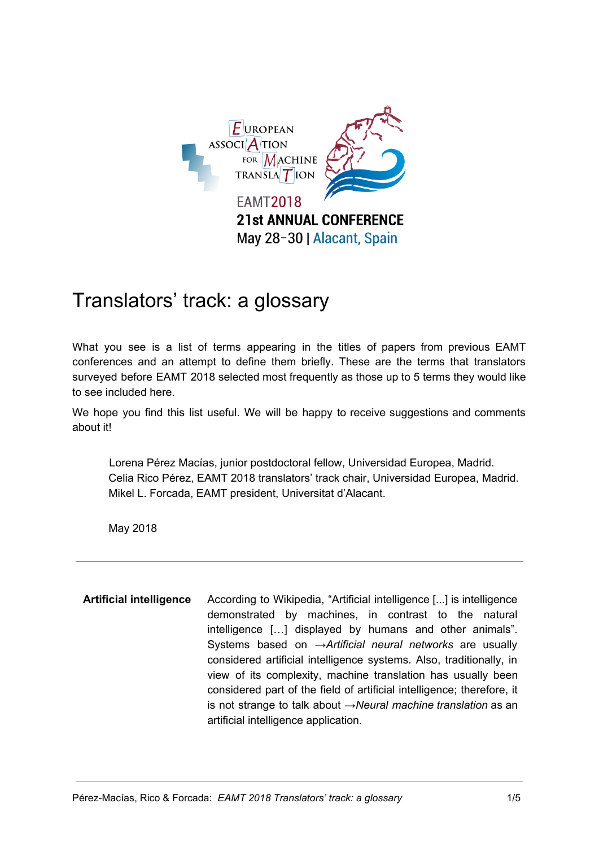

## Translators' track: a glossary

What you see is a list of terms appearing in the titles of papers from previous EAMT conferences and an attempt to define them briefly. These are the terms that translators surveyed before EAMT 2018 selected most frequently as those up to 5 terms they would like to see included here.

We hope you find this list useful. We will be happy to receive suggestions and comments about it!

Lorena Pérez Macías, junior postdoctoral fellow, Universidad Europea, Madrid. Celia Rico Pérez, EAMT 2018 translators' track chair, Universidad Europea, Madrid. Mikel L. Forcada, EAMT president, Universitat d'Alacant.

May 2018

**Artificial intelligence** According to Wikipedia, "Artificial intelligence [...] is intelligence demonstrated by machines, in contrast to the natural intelligence […] displayed by humans and other animals". Systems based on →*Artificial neural networks* are usually considered artificial intelligence systems. Also, traditionally, in view of its complexity, machine translation has usually been considered part of the field of artificial intelligence; therefore, it is not strange to talk about *→Neural machine translation* as an artificial intelligence application.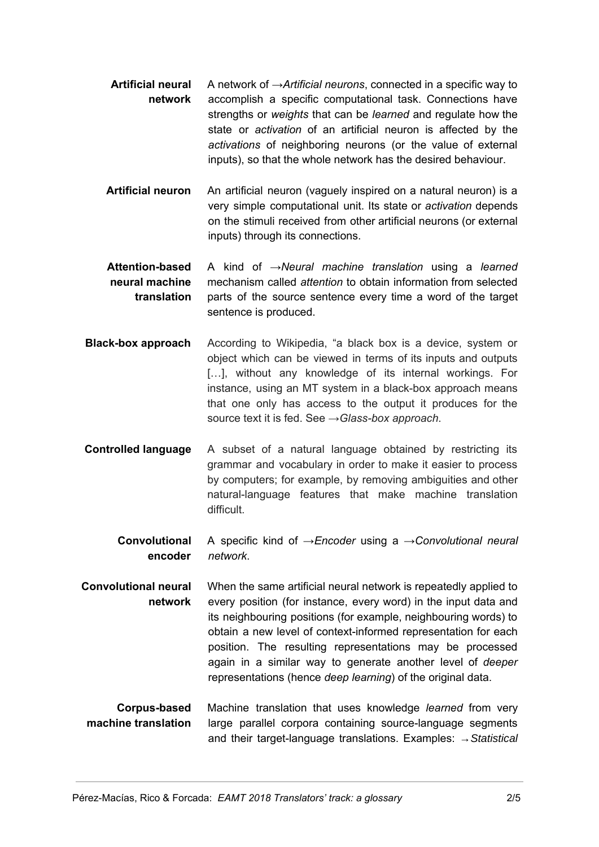- **Artificial neural network** A network of →*Artificial neurons*, connected in a specific way to accomplish a specific computational task. Connections have strengths or *weights* that can be *learned* and regulate how the state or *activation* of an artificial neuron is affected by the *activations* of neighboring neurons (or the value of external inputs), so that the whole network has the desired behaviour.
- **Artificial neuron** An artificial neuron (vaguely inspired on a natural neuron) is a very simple computational unit. Its state or *activation* depends on the stimuli received from other artificial neurons (or external inputs) through its connections.
- **Attention-based neural machine translation** A kind of *→Neural machine translation* using a *learned* mechanism called *attention* to obtain information from selected parts of the source sentence every time a word of the target sentence is produced.
- **Black-box approach** According to Wikipedia, "a black box is a device, system or object which can be viewed in terms of its inputs and outputs [...], without any knowledge of its internal workings. For instance, using an MT system in a black-box approach means that one only has access to the output it produces for the source text it is fed. See *→Glass-box approach*.
- **Controlled language** A subset of a natural language obtained by restricting its grammar and vocabulary in order to make it easier to process by computers; for example, by removing ambiguities and other natural-language features that make machine translation difficult.
	- **Convolutional encoder** A specific kind of *→Encoder* using a →*Convolutional neural network*.
- **Convolutional neural network** When the same artificial neural network is repeatedly applied to every position (for instance, every word) in the input data and its neighbouring positions (for example, neighbouring words) to obtain a new level of context-informed representation for each position. The resulting representations may be processed again in a similar way to generate another level of *deeper* representations (hence *deep learning*) of the original data.
- **Corpus-based machine translation** Machine translation that uses knowledge *learned* from very large parallel corpora containing source-language segments and their target-language translations. Examples: *→Statistical*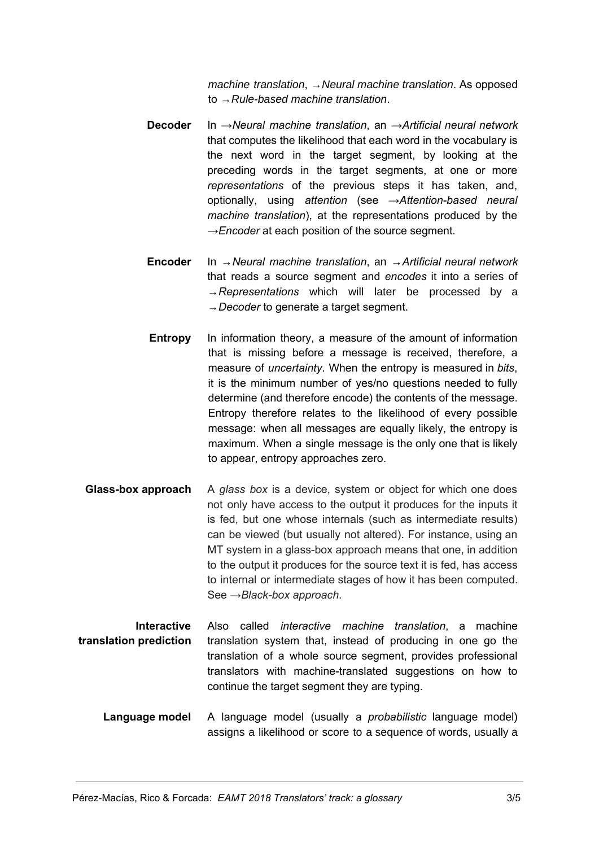*machine translation*, *→Neural machine translation*. As opposed to *→Rule-based machine translation*.

- **Decoder** In *→Neural machine translation*, an →*Artificial neural network* that computes the likelihood that each word in the vocabulary is the next word in the target segment, by looking at the preceding words in the target segments, at one or more *representations* of the previous steps it has taken, and, optionally, using *attention* (see →*Attention-based neural machine translation*), at the representations produced by the →*Encoder* at each position of the source segment.
- **Encoder** In →*Neural machine translation*, an →*Artificial neural network* that reads a source segment and *encodes* it into a series of →*Representations* which will later be processed by a →*Decoder* to generate a target segment.
- **Entropy** In information theory, a measure of the amount of information that is missing before a message is received, therefore, a measure of *uncertainty*. When the entropy is measured in *bits*, it is the minimum number of yes/no questions needed to fully determine (and therefore encode) the contents of the message. Entropy therefore relates to the likelihood of every possible message: when all messages are equally likely, the entropy is maximum. When a single message is the only one that is likely to appear, entropy approaches zero.
- **Glass-box approach** A *glass box* is a device, system or object for which one does not only have access to the output it produces for the inputs it is fed, but one whose internals (such as intermediate results) can be viewed (but usually not altered). For instance, using an MT system in a glass-box approach means that one, in addition to the output it produces for the source text it is fed, has access to internal or intermediate stages of how it has been computed. See *→Black-box approach*.
- **Interactive translation prediction** Also called *interactive machine translation*, a machine translation system that, instead of producing in one go the translation of a whole source segment, provides professional translators with machine-translated suggestions on how to continue the target segment they are typing.
	- **Language model** A language model (usually a *probabilistic* language model) assigns a likelihood or score to a sequence of words, usually a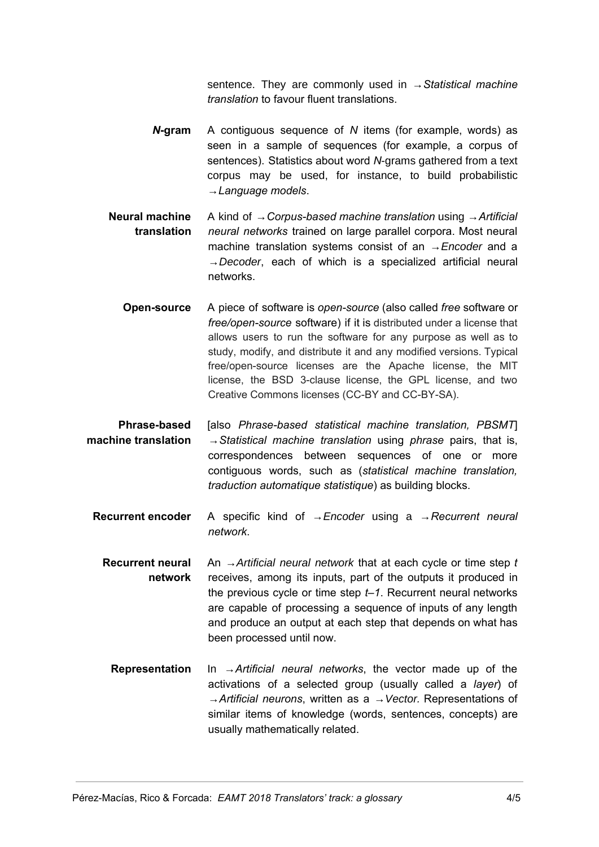sentence. They are commonly used in →*Statistical machine translation* to favour fluent translations.

- *N***- gram** A contiguous sequence of *N* items (for example, words) as seen in a sample of sequences (for example, a corpus of sentences). Statistics about word *N*-grams gathered from a text corpus may be used, for instance, to build probabilistic →*Language models*.
- **Neural machine translation** A kind of →*Corpus-based machine translation* using →*Artificial neural networks* trained on large parallel corpora. Most neural machine translation systems consist of an *→Encoder* and a *→Decoder*, each of which is a specialized artificial neural networks.
- **Open-source** A piece of software is *open-source* (also called *free* software or *free/open-source* software) if it is distributed under a license that allows users to run the software for any purpose as well as to study, modify, and distribute it and any modified versions. Typical free/open-source licenses are the Apache license, the MIT license, the BSD 3-clause license, the GPL license, and two Creative Commons licenses (CC-BY and CC-BY-SA).
- **Phrase-based machine translation** [also *Phrase-based statistical machine translation, PBSMT*] →*Statistical machine translation* using *phrase* pairs, that is, correspondences between sequences of one or more contiguous words, such as (*statistical machine translation, traduction automatique statistique*) as building blocks.
	- **Recurrent encoder** A specific kind of *→Encoder* using a →*Recurrent neural network*.
		- **Recurrent neural network** An *→Artificial neural network* that at each cycle or time step *t* receives, among its inputs, part of the outputs it produced in the previous cycle or time step *t–1*. Recurrent neural networks are capable of processing a sequence of inputs of any length and produce an output at each step that depends on what has been processed until now.
			- **Representation** In →*Artificial neural networks*, the vector made up of the activations of a selected group (usually called a *layer*) of →*Artificial neurons*, written as a *→Vector.* Representations of similar items of knowledge (words, sentences, concepts) are usually mathematically related.